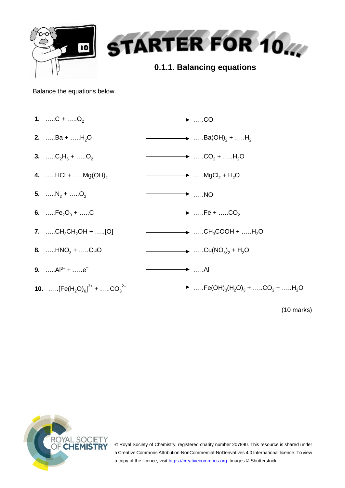

Balance the equations below.

| 1. $C +$ $O_2$                              | $\longrightarrow$ CO                                                                                       |
|---------------------------------------------|------------------------------------------------------------------------------------------------------------|
| 2. Ba + $H_2O$                              | $\longrightarrow$ Ba(OH) <sub>2</sub> + H <sub>2</sub>                                                     |
| 3. $C_2H_6 +$ $O_2$                         | $\longrightarrow$ CO <sub>2</sub> + H <sub>2</sub> O                                                       |
| 4. $HCI +$ $Mg(OH)_{2}$                     | $\longrightarrow$ MgCl <sub>2</sub> + H <sub>2</sub> O                                                     |
| 5. $\dots N_2 + \dots O_2$                  | $\longrightarrow$ NO                                                                                       |
| 6. $Fe2O3 + C$                              | $\longrightarrow$ Fe + CO <sub>2</sub>                                                                     |
| 7. CH <sub>3</sub> CH <sub>2</sub> OH + [O] | $\longrightarrow$ CH <sub>3</sub> COOH + H <sub>2</sub> O                                                  |
| 8. $HNO_3 +$ CuO                            | $\longrightarrow$ Cu(NO <sub>3</sub> ) <sub>2</sub> + H <sub>2</sub> O                                     |
| 9. $\ldots$ $Al^{3+}$ + $\ldots$ $e^{-}$    | ———— <del>— →</del> …Al                                                                                    |
| <b>10.</b> $[Fe(H2O)6]3+ +  .CO32-$         | $\longrightarrow$ Fe(OH) <sub>3</sub> (H <sub>2</sub> O) <sub>3</sub> + CO <sub>2</sub> + H <sub>2</sub> O |
|                                             |                                                                                                            |

(10 marks)



© Royal Society of Chemistry, registered charity number 207890. This resource is shared under a Creative Commons Attribution-NonCommercial-NoDerivatives 4.0 International licence. To view a copy of the licence, visi[t https://creativecommons.org.](https://creativecommons.org/) Images © Shutterstock.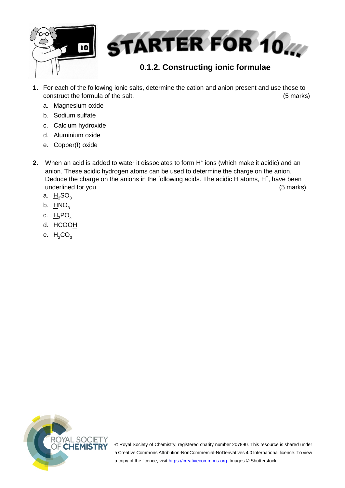

- **1.** For each of the following ionic salts, determine the cation and anion present and use these to construct the formula of the salt. (5 marks)
	- a. Magnesium oxide
	- b. Sodium sulfate
	- c. Calcium hydroxide
	- d. Aluminium oxide
	- e. Copper(I) oxide
- **2.** When an acid is added to water it dissociates to form H<sup>+</sup> ions (which make it acidic) and an anion. These acidic hydrogen atoms can be used to determine the charge on the anion. Deduce the charge on the anions in the following acids. The acidic H atoms,  $H^+$ , have been underlined for you. (5 marks)
	- a.  $H_2SO_3$
	- b.  $HNO<sub>3</sub>$
	- c.  $H_3PO_4$
	- d. HCOOH
	- e.  $H_2CO_3$



© Royal Society of Chemistry, registered charity number 207890. This resource is shared under a Creative Commons Attribution-NonCommercial-NoDerivatives 4.0 International licence. To view a copy of the licence, visi[t https://creativecommons.org.](https://creativecommons.org/) Images © Shutterstock.